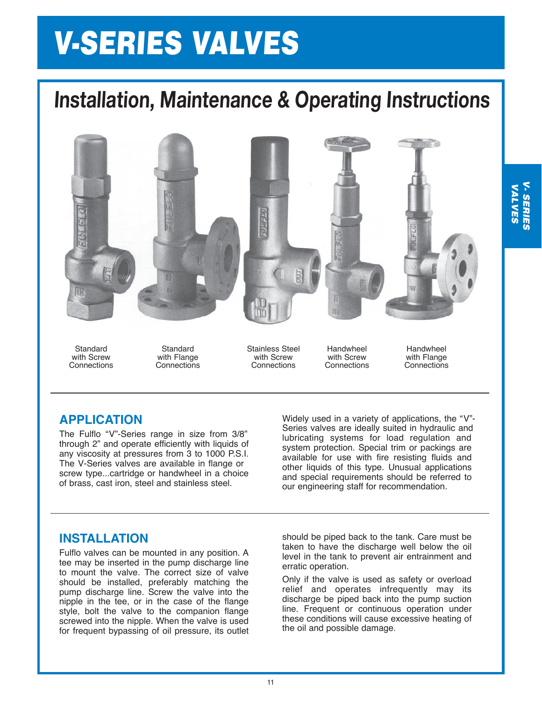# V-SERIES VALVES

# **Installation, Maintenance & Operating Instructions**



**Standard** with Screw **Connections** 

**Standard** with Flange **Connections**  Stainless Steel with Screw **Connections** 

Handwheel with Screw **Connections** 

Handwheel with Flange **Connections** 

### **APPLICATION**

The Fulflo "V"-Series range in size from 3/8" through 2" and operate efficiently with liquids of any viscosity at pressures from 3 to 1000 P.S.I. The V-Series valves are available in flange or screw type...cartridge or handwheel in a choice of brass, cast iron, steel and stainless steel.

Widely used in a variety of applications, the "V"- Series valves are ideally suited in hydraulic and lubricating systems for load regulation and system protection. Special trim or packings are available for use with fire resisting fluids and other liquids of this type. Unusual applications and special requirements should be referred to our engineering staff for recommendation.

#### **INSTALLATION**

Fulflo valves can be mounted in any position. A tee may be inserted in the pump discharge line to mount the valve. The correct size of valve should be installed, preferably matching the pump discharge line. Screw the valve into the nipple in the tee, or in the case of the flange style, bolt the valve to the companion flange screwed into the nipple. When the valve is used for frequent bypassing of oil pressure, its outlet should be piped back to the tank. Care must be taken to have the discharge well below the oil level in the tank to prevent air entrainment and erratic operation.

Only if the valve is used as safety or overload relief and operates infrequently may its discharge be piped back into the pump suction line. Frequent or continuous operation under these conditions will cause excessive heating of the oil and possible damage.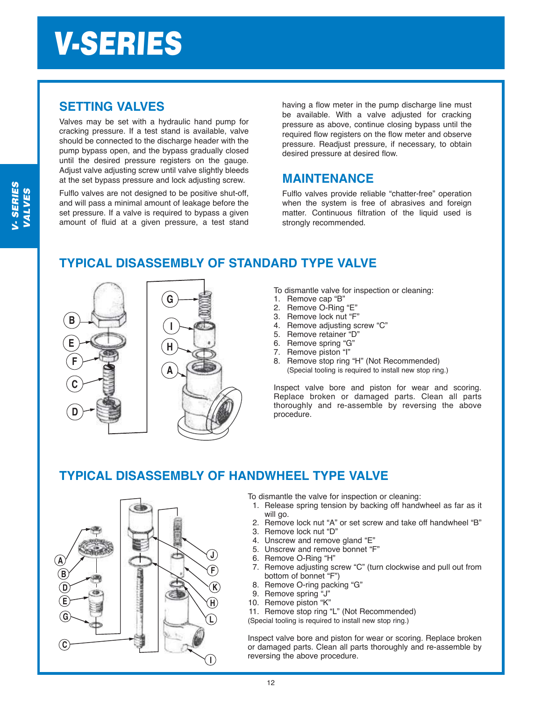#### **SETTING VALVES**

Valves may be set with a hydraulic hand pump for cracking pressure. If a test stand is available, valve should be connected to the discharge header with the pump bypass open, and the bypass gradually closed until the desired pressure registers on the gauge. Adjust valve adjusting screw until valve slightly bleeds at the set bypass pressure and lock adjusting screw.

Fulflo valves are not designed to be positive shut-off, and will pass a minimal amount of leakage before the set pressure. If a valve is required to bypass a given amount of fluid at a given pressure, a test stand having a flow meter in the pump discharge line must be available. With a valve adiusted for cracking pressure as above, continue closing bypass until the required flow registers on the flow meter and observe pressure. Readjust pressure, if necessary, to obtain desired pressure at desired flow.

### **MAINTENANCE**

Fulflo valves provide reliable "chatter-free" operation when the system is free of abrasives and foreign matter. Continuous filtration of the liquid used is strongly recommended.

### **TYPICAL DISASSEMBLY OF STANDARD TYPE VALVE**



To dismantle valve for inspection or cleaning:

- 1. Remove cap "B"
- 2. Remove O-Ring "E"
- 3. Remove lock nut "F"
- 4. Remove adjusting screw "C"
- 5. Remove retainer "D"
- 6. Remove spring "G"
- 7. Remove piston "I"
- 8. Remove stop ring "H" (Not Recommended) (Special tooling is required to install new stop ring.)

Inspect valve bore and piston for wear and scoring. Replace broken or damaged parts. Clean all parts thoroughly and re-assemble by reversing the above procedure.

### **TYPICAL DISASSEMBLY OF HANDWHEEL TYPE VALVE**



To dismantle the valve for inspection or cleaning:

- 1. Release spring tension by backing off handwheel as far as it will go.
- 2. Remove lock nut "A" or set screw and take off handwheel "B"
- 3. Remove lock nut "D"
- 4. Unscrew and remove gland "E"
- 5. Unscrew and remove bonnet "F"
- 6. Remove O-Ring "H"
- 7. Remove adjusting screw "C" (turn clockwise and pull out from bottom of bonnet "F")
- 8. Remove O-ring packing "G"
- 9. Remove spring "J"
- 10. Remove piston "K"
- 11. Remove stop ring "L" (Not Recommended)

(Special tooling is required to install new stop ring.)

Inspect valve bore and piston for wear or scoring. Replace broken or damaged parts. Clean all parts thoroughly and re-assemble by reversing the above procedure.

12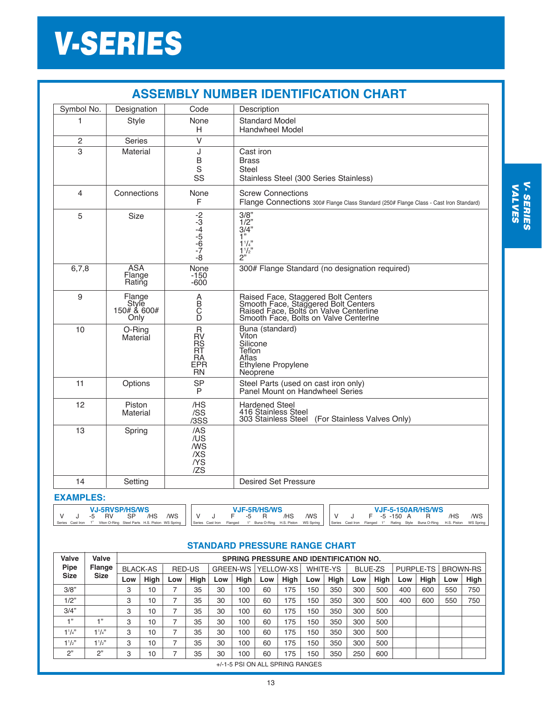# V-SERIES

| <b>ASSEMBLY NUMBER IDENTIFICATION CHART</b> |                                        |                                                                       |                                                                                                                                                               |  |  |  |  |  |  |  |  |
|---------------------------------------------|----------------------------------------|-----------------------------------------------------------------------|---------------------------------------------------------------------------------------------------------------------------------------------------------------|--|--|--|--|--|--|--|--|
| Symbol No.                                  | Designation                            | Code                                                                  | Description                                                                                                                                                   |  |  |  |  |  |  |  |  |
| 1                                           | <b>Style</b>                           | None<br>н                                                             | <b>Standard Model</b><br>Handwheel Model                                                                                                                      |  |  |  |  |  |  |  |  |
| 2                                           | <b>Series</b>                          | V                                                                     |                                                                                                                                                               |  |  |  |  |  |  |  |  |
| 3                                           | Material                               | J<br>B<br>S<br>SS                                                     | Cast iron<br><b>Brass</b><br>Steel<br>Stainless Steel (300 Series Stainless)                                                                                  |  |  |  |  |  |  |  |  |
| $\overline{\mathbf{4}}$                     | Connections                            | None<br>F                                                             | <b>Screw Connections</b><br>Flange Connections 300# Flange Class Standard (250# Flange Class - Cast Iron Standard)                                            |  |  |  |  |  |  |  |  |
| 5                                           | <b>Size</b>                            | $-2$<br>$-3$<br>$-4$<br>$-5$<br>$-7$<br>$-8$                          | 3/8"<br>$\frac{1}{2}$<br>$\frac{1}{2}$<br>1"<br>$1^{1}/4$ "<br>$1^{1}/2$<br>2"                                                                                |  |  |  |  |  |  |  |  |
| 6,7,8                                       | <b>ASA</b><br>Flange<br>Rating         | None<br>$-150$<br>$-600$                                              | 300# Flange Standard (no designation required)                                                                                                                |  |  |  |  |  |  |  |  |
| 9                                           | Flange<br>Style<br>150# & 600#<br>Only | A<br>B<br>C<br>Ď                                                      | Raised Face, Staggered Bolt Centers<br>Smooth Face, Staggered Bolt Centers<br>Raised Face, Bolts on Valve Centerline<br>Smooth Face, Bolts on Valve Centerine |  |  |  |  |  |  |  |  |
| 10                                          | O-Ring<br>Material                     | $\mathsf R$<br><b>RV</b><br>RS<br>RT<br>RA<br><b>EPR</b><br><b>RN</b> | Buna (standard)<br>Viton<br>Silicone<br>Teflon<br>Aflas<br>Ethylene Propylene<br>Neoprene                                                                     |  |  |  |  |  |  |  |  |
| 11                                          | Options                                | <b>SP</b><br>P                                                        | Steel Parts (used on cast iron only)<br>Panel Mount on Handwheel Series                                                                                       |  |  |  |  |  |  |  |  |
| 12                                          | Piston<br>Material                     | /HS<br>/SS<br>/3SS                                                    | <b>Hardened Steel</b><br>416 Stainless Steel<br>303 Stainless Steel<br>(For Stainless Valves Only)                                                            |  |  |  |  |  |  |  |  |
| 13                                          | Spring                                 | /AS<br>/US<br>/WS<br>/XS<br>/YS<br>IZS                                |                                                                                                                                                               |  |  |  |  |  |  |  |  |
| 14                                          | Setting                                |                                                                       | <b>Desired Set Pressure</b>                                                                                                                                   |  |  |  |  |  |  |  |  |

#### **EXAMPLES:**

| <b>V.I-5RVSP/HS/WS</b> |  |  |                      | <b>V.IF-5R/HS/WS</b> |  |  |  | <b>VJF-5-150AR/HS/WS</b> |        |     |        |  |  |  |  |             |  |                                                                                                                                                                                                                 |     |     |
|------------------------|--|--|----------------------|----------------------|--|--|--|--------------------------|--------|-----|--------|--|--|--|--|-------------|--|-----------------------------------------------------------------------------------------------------------------------------------------------------------------------------------------------------------------|-----|-----|
|                        |  |  | -5 RV SP /HS /WS IIV |                      |  |  |  |                          | F -5 R | /HS | WS IIV |  |  |  |  | F -5 -150 A |  |                                                                                                                                                                                                                 | /HS | /WS |
|                        |  |  |                      |                      |  |  |  |                          |        |     |        |  |  |  |  |             |  | Series Cast Iron 1" Viton O-Ring Steel Parts H.S. Piston WS Spring   Series Cast Iron Flanged 1" Buna O-Ring H.S. Piston WS Spring   Series Cast Iron Flanged 1" Rating Style Buna O-Ring H.S. Piston WS Spring |     |     |

#### **STANDARD PRESSURE RANGE CHART**

| Valve       | Valve                 | <b>SPRING PRESSURE AND IDENTIFICATION NO.</b> |      |               |      |     |                 |           |             |          |      |                |      |                  |      |                 |             |
|-------------|-----------------------|-----------------------------------------------|------|---------------|------|-----|-----------------|-----------|-------------|----------|------|----------------|------|------------------|------|-----------------|-------------|
| Pipe        | Flange<br><b>Size</b> | <b>BLACK-AS</b>                               |      | <b>RED-US</b> |      |     | <b>GREEN-WS</b> | YELLOW-XS |             | WHITE-YS |      | <b>BLUE-ZS</b> |      | <b>PURPLE-TS</b> |      | <b>BROWN-RS</b> |             |
| <b>Size</b> |                       | Low                                           | High | Low           | High | Low | High            | Low       | <b>High</b> | Low      | High | Low            | High | Low              | High | Low             | <b>High</b> |
| 3/8"        |                       | 3                                             | 10   |               | 35   | 30  | 100             | 60        | 175         | 150      | 350  | 300            | 500  | 400              | 600  | 550             | 750         |
| 1/2"        |                       | 3                                             | 10   |               | 35   | 30  | 100             | 60        | 175         | 150      | 350  | 300            | 500  | 400              | 600  | 550             | 750         |
| 3/4"        |                       | 3                                             | 10   |               | 35   | 30  | 100             | 60        | 175         | 150      | 350  | 300            | 500  |                  |      |                 |             |
| $-1, 22$    | $+1$                  | 3                                             | 10   |               | 35   | 30  | 100             | 60        | 175         | 150      | 350  | 300            | 500  |                  |      |                 |             |
| $1^{1}/4$ " | $1^{1}/4$ "           | 3                                             | 10   |               | 35   | 30  | 100             | 60        | 175         | 150      | 350  | 300            | 500  |                  |      |                 |             |
| $1^{1}/2$ " | $1^{1}/2$ "           | 3                                             | 10   |               | 35   | 30  | 100             | 60        | 175         | 150      | 350  | 300            | 500  |                  |      |                 |             |
| 2"          | 2"                    | 3                                             | 10   |               | 35   | 30  | 100             | 60        | 175         | 150      | 350  | 250            | 600  |                  |      |                 |             |
|             |                       |                                               |      |               |      |     |                 |           |             |          |      |                |      |                  |      |                 |             |

+/-1-5 PSI ON ALL SPRING RANGES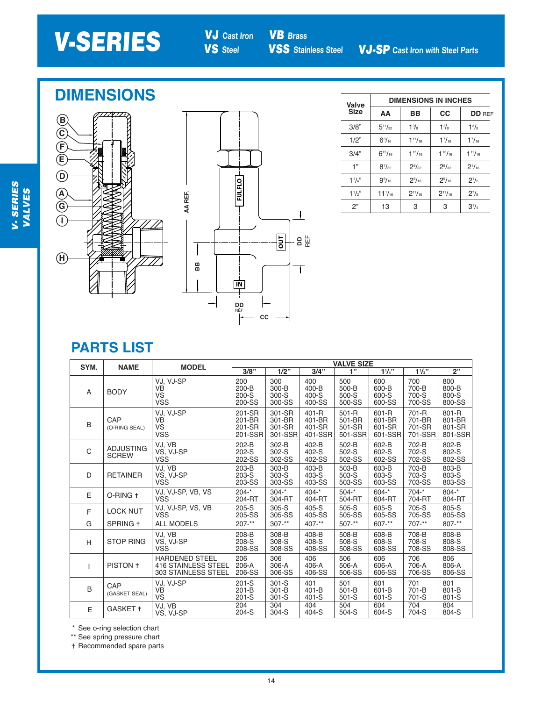VB **Brass**

### **DIMENSIONS**





| Valve       | <b>DIMENSIONS IN INCHES</b> |                |                |                |  |  |  |  |  |  |
|-------------|-----------------------------|----------------|----------------|----------------|--|--|--|--|--|--|
| <b>Size</b> | AA                          | BB             | cc             | <b>DD</b> REF  |  |  |  |  |  |  |
| 3/8"        | $5^{11}/_{32}$              | $1\frac{3}{8}$ | $1\frac{3}{8}$ | $1^{3}/_{8}$   |  |  |  |  |  |  |
| 1/2"        | $6^{3}/_{16}$               | $1^{11}/_{16}$ | $1^{7}/_{16}$  | $1^{7}/_{16}$  |  |  |  |  |  |  |
| 3/4"        | $6^{15}/_{16}$              | $1^{15}/_{16}$ | $1^{13}/_{16}$ | $1^{11}/_{16}$ |  |  |  |  |  |  |
| 1"          | $8^{7}/_{32}$               | $2^{9}/_{32}$  | $2^{9}/32$     | $2^{1}/_{16}$  |  |  |  |  |  |  |
| $1^{1}/4$ " | $9\%$ <sub>16</sub>         | $2^{9}/_{16}$  | $2^{9}/_{16}$  | $2^{1/2}$      |  |  |  |  |  |  |
| 11/2"       | $11^{1}/_{16}$              | $2^{11}/_{16}$ | $2^{11}/_{16}$ | $2^{7}/3$      |  |  |  |  |  |  |
| 2"          | 13                          | 3              | 3              | $3^{1}/4$      |  |  |  |  |  |  |

### **PARTS LIST**

| SYM.         | <b>NAME</b>                      | <b>MODEL</b>                                                               | <b>VALVE SIZE</b>                     |                                       |                                          |                                      |                                      |                                      |                                      |  |  |  |
|--------------|----------------------------------|----------------------------------------------------------------------------|---------------------------------------|---------------------------------------|------------------------------------------|--------------------------------------|--------------------------------------|--------------------------------------|--------------------------------------|--|--|--|
|              |                                  |                                                                            | $3/8$ "                               | $1/2$ "                               | 3/4"                                     | 1"                                   | 11/4"                                | 11/2"                                | 2"                                   |  |  |  |
| A            | <b>BODY</b>                      | VJ, VJ-SP<br><b>VB</b><br>VS<br><b>VSS</b>                                 | 200<br>$200 - B$<br>$200-S$<br>200-SS | 300<br>300-B<br>300-S<br>300-SS       | 400<br>400-B<br>$400-S$<br>400-SS        | 500<br>500-B<br>500-S<br>500-SS      | 600<br>600-B<br>600-S<br>600-SS      | 700<br>700-B<br>700-S<br>700-SS      | 800<br>800-B<br>800-S<br>800-SS      |  |  |  |
| B            | CAP<br>(O-RING SEAL)             | VJ, VJ-SP<br><b>VB</b><br>VS<br><b>VSS</b>                                 | 201-SR<br>201-BR<br>201-SR<br>201-SSR | 301-SR<br>301-BR<br>301-SR<br>301-SSR | $401 - R$<br>401-BR<br>401-SR<br>401-SSR | 501-R<br>501-BR<br>501-SR<br>501-SSR | 601-R<br>601-BR<br>601-SR<br>601-SSR | 701-R<br>701-BR<br>701-SR<br>701-SSR | 801-R<br>801-BR<br>801-SR<br>801-SSR |  |  |  |
| $\mathsf{C}$ | <b>ADJUSTING</b><br><b>SCREW</b> | VJ, VB<br>VS, VJ-SP<br>VSS                                                 | $202-B$<br>$202-S$<br>202-SS          | $302-B$<br>302-S<br>302-SS            | 402-B<br>402-S<br>402-SS                 | 502-B<br>502-S<br>502-SS             | 602-B<br>602-S<br>602-SS             | 702-B<br>702-S<br>702-SS             | 802-B<br>802-S<br>802-SS             |  |  |  |
| D            | <b>RETAINER</b>                  | VJ, VB<br>VS, VJ-SP<br><b>VSS</b>                                          | 203-B<br>$203-S$<br>203-SS            | 303-B<br>$303-S$<br>303-SS            | 403-B<br>403-S<br>403-SS                 | 503-B<br>503-S<br>503-SS             | 603-B<br>603-S<br>603-SS             | 703-B<br>703-S<br>703-SS             | 803-B<br>803-S<br>803-SS             |  |  |  |
| E            | O-RING +                         | VJ, VJ-SP, VB, VS<br><b>VSS</b>                                            | $204 -$ *<br>204-RT                   | $304 -$ *<br>304-RT                   | $404 -$ *<br>404-RT                      | $504 -$ *<br>504-RT                  | $604 -$ *<br>604-RT                  | $704 -$ *<br>704-RT                  | $804 -$ *<br>804-RT                  |  |  |  |
| F            | <b>LOCK NUT</b>                  | VJ, VJ-SP, VS, VB<br><b>VSS</b>                                            | 205-S<br>205-SS                       | 305-S<br>305-SS                       | 405-S<br>405-SS                          | $505-S$<br>505-SS                    | 605-S<br>605-SS                      | 705-S<br>705-SS                      | 805-S<br>805-SS                      |  |  |  |
| G            | SPRING +                         | <b>ALL MODELS</b>                                                          | $207 -$ **                            | $307 -$ **                            | $407 -$ **                               | $507 -$ **                           | $607 -$ **                           | $707 -$ **                           | 807-**                               |  |  |  |
| H            | <b>STOP RING</b>                 | VJ, VB<br>VS, VJ-SP<br><b>VSS</b>                                          | 208-B<br>208-S<br>208-SS              | 308-B<br>308-S<br>308-SS              | 408-B<br>408-S<br>408-SS                 | 508-B<br>508-S<br>508-SS             | 608-B<br>608-S<br>608-SS             | 708-B<br>708-S<br>708-SS             | 808-B<br>808-S<br>808-SS             |  |  |  |
| $\mathsf{L}$ | PISTON +                         | <b>HARDENED STEEL</b><br><b>416 STAINLESS STEEL</b><br>303 STAINLESS STEEL | 206<br>206-A<br>206-SS                | 306<br>306-A<br>306-SS                | 406<br>406-A<br>406-SS                   | 506<br>506-A<br>506-SS               | 606<br>606-A<br>606-SS               | 706<br>706-A<br>706-SS               | 806<br>806-A<br>806-SS               |  |  |  |
| B            | CAP<br>(GASKET SEAL)             | VJ, VJ-SP<br><b>VB</b><br><b>VS</b>                                        | $201-S$<br>$201 - B$<br>$201-S$       | $301-S$<br>$301-B$<br>$301-S$         | 401<br>401-B<br>$401-S$                  | 501<br>$501-B$<br>$501-S$            | 601<br>601-B<br>601-S                | 701<br>701-B<br>$701-S$              | 801<br>801-B<br>801-S                |  |  |  |
| E            | GASKET +                         | VJ, VB<br>VS, VJ-SP                                                        | 204<br>$204-S$                        | 304<br>$304-S$                        | 404<br>404-S                             | 504<br>504-S                         | 604<br>604-S                         | 704<br>704-S                         | 804<br>804-S                         |  |  |  |

\* See o-ring selection chart

\*\* See spring pressure chart

t Recommended spare parts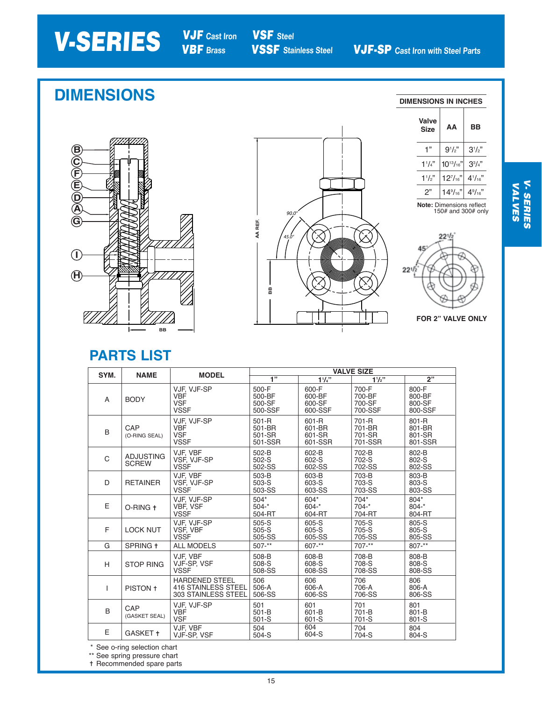# **V-SERIES** VJF Cast Iron

VBF **Brass**

VSF **Steel**

## **DIMENSIONS**

**DIMENSIONS IN INCHES**









 $22^{1/z}$ 45  $22^{1/2}$ 

**FOR 2" VALVE ONLY**

### **PARTS LIST**

| SYM.         | <b>NAME</b>                      | <b>MODEL</b>                                                               | <b>VALVE SIZE</b>                    |                                      |                                      |                                      |  |  |  |  |
|--------------|----------------------------------|----------------------------------------------------------------------------|--------------------------------------|--------------------------------------|--------------------------------------|--------------------------------------|--|--|--|--|
|              |                                  |                                                                            | $\overline{1}$                       | $1\frac{1}{4}$                       | $1^{1}/2$ "                          | 2"                                   |  |  |  |  |
| A            | <b>BODY</b>                      | VJF, VJF-SP<br><b>VBF</b><br><b>VSF</b><br><b>VSSF</b>                     | 500-F<br>500-BF<br>500-SF<br>500-SSF | 600-F<br>600-BF<br>600-SF<br>600-SSF | 700-F<br>700-BF<br>700-SF<br>700-SSF | 800-F<br>800-BF<br>800-SF<br>800-SSF |  |  |  |  |
| B            | CAP<br>(O-RING SEAL)             | VJF. VJF-SP<br><b>VBF</b><br><b>VSF</b><br><b>VSSF</b>                     | 501-R<br>501-BR<br>501-SR<br>501-SSR | 601-R<br>601-BR<br>601-SR<br>601-SSR | 701-R<br>701-BR<br>701-SR<br>701-SSR | 801-R<br>801-BR<br>801-SR<br>801-SSR |  |  |  |  |
| $\mathsf{C}$ | <b>ADJUSTING</b><br><b>SCREW</b> | VJF. VBF<br>VSF, VJF-SP<br><b>VSSF</b>                                     | 502-B<br>$502-S$<br>502-SS           | 602-B<br>602-S<br>602-SS             | 702-B<br>702-S<br>702-SS             | 802-B<br>802-S<br>802-SS             |  |  |  |  |
| D            | <b>RETAINER</b>                  | VJF. VBF<br>VSF, VJF-SP<br><b>VSSF</b>                                     | 503-B<br>$503-S$<br>503-SS           | 603-B<br>603-S<br>603-SS             | 703-B<br>703-S<br>703-SS             | 803-B<br>803-S<br>803-SS             |  |  |  |  |
| E            | O-RING +                         | VJF, VJF-SP<br>VBF, VSF<br><b>VSSF</b>                                     | $504*$<br>$504 -$ *<br>504-RT        | 604*<br>$604 -$ *<br>604-RT          | 704*<br>$704 -$ *<br>704-RT          | 804*<br>$804 - *$<br>804-RT          |  |  |  |  |
| F            | <b>LOCK NUT</b>                  | VJF. VJF-SP<br>VSF, VBF<br><b>VSSF</b>                                     | $505-S$<br>505-S<br>505-SS           | $605-S$<br>605-S<br>605-SS           | 705-S<br>705-S<br>705-SS             | 805-S<br>805-S<br>805-SS             |  |  |  |  |
| G            | SPRING +                         | <b>ALL MODELS</b>                                                          | $507 -$ **                           | $607 -$ **                           | 707-**                               | $807 -$ **                           |  |  |  |  |
| H            | <b>STOP RING</b>                 | VJF. VBF<br>VJF-SP, VSF<br><b>VSSF</b>                                     | 508-B<br>508-S<br>508-SS             | 608-B<br>608-S<br>608-SS             | 708-B<br>708-S<br>708-SS             | 808-B<br>808-S<br>808-SS             |  |  |  |  |
| T            | PISTON +                         | <b>HARDENED STEEL</b><br><b>416 STAINLESS STEEL</b><br>303 STAINLESS STEEL | 506<br>506-A<br>506-SS               | 606<br>606-A<br>606-SS               | 706<br>706-A<br>706-SS               | 806<br>806-A<br>806-SS               |  |  |  |  |
| B            | CAP<br>(GASKET SEAL)             | VJF, VJF-SP<br><b>VBF</b><br><b>VSF</b>                                    | 501<br>$501-B$<br>$501-S$            | 601<br>601-B<br>601-S                | 701<br>701-B<br>701-S                | 801<br>801-B<br>801-S                |  |  |  |  |
| E            | GASKET +                         | VJF, VBF<br>VJF-SP, VSF                                                    | 504<br>504-S                         | 604<br>604-S                         | 704<br>704-S                         | 804<br>804-S                         |  |  |  |  |

\* See o-ring selection chart

\*\* See spring pressure chart

t Recommended spare parts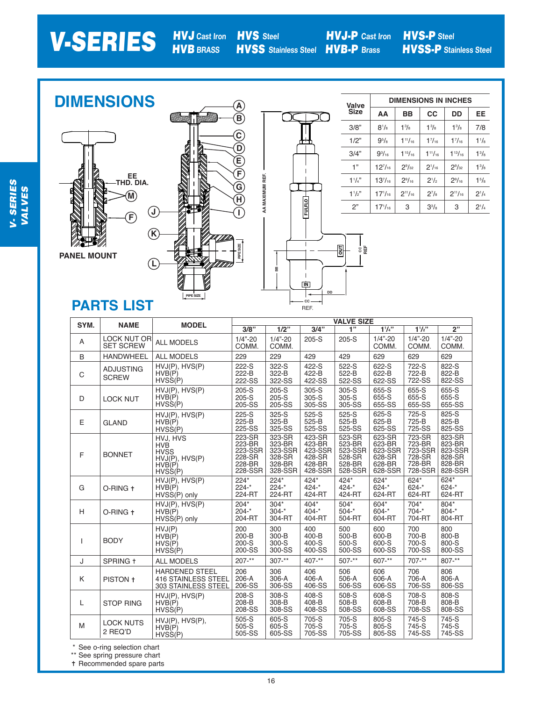# V-SERIES

HVJ **Cast Iron** HVS **Steel** HVB **BRASS**

**DD IN**

 $\mathsf I$ 

**CC** REF. **DD**

HVS-P **Steel** HVSS-P **Stainless Steel**

**DIMENSIONS A Valve Size**  $\overline{\text{C}}$ **B A** 3/8" **C C** 1/2" **D D** 3/4" **E**  $\widecheck{\mathsf{F}}$ 1" **F** C<br>(q)<br>( AA MAXIMUM REF. **EE THD. DIA. AA MAXIMUM REF.** 1 1 /4" **G M**  $\widetilde{\mathsf{H}}$ 1 1  $/2$ " **H FULFLO** 2" **J I I FCCFULFLO J K K PIPE SIZE**  $\mathbf{I}$ **OUT PIPE SIZE REF**  $\stackrel{.}{\phantom{\!.}}$ **OUT CC PANEL MOUNT L BB L**

**PIPE SIZE**

**PIPE SIZE**

| Valve       | <b>DIMENSIONS IN INCHES</b> |                 |                |                 |              |  |  |  |  |  |  |
|-------------|-----------------------------|-----------------|----------------|-----------------|--------------|--|--|--|--|--|--|
| <b>Size</b> | AA                          | ВB              | <b>CC</b>      | DD              | EE           |  |  |  |  |  |  |
| 3/8"        | $8^{1}/_{8}$                | $1^{3}/_{8}$    | $1^{3}/_{8}$   | $1^{3}/_{8}$    | 7/8          |  |  |  |  |  |  |
| 1/2"        | $9^{5}/8$                   | $1^{11}/_{16}$  | $1^{7}/_{16}$  | $1^{7}/_{16}$   | $1^{1}/_{8}$ |  |  |  |  |  |  |
| 3/4"        | $9^{3}/_{16}$               | $1^{15}/_{16}$  | $1^{11}/_{16}$ | $1^{13}/_{16}$  | $1^{3}/_{8}$ |  |  |  |  |  |  |
| 1"          | $12^{7}/_{16}$              | $2\frac{9}{32}$ | $2^{1/16}$     | $2\frac{9}{32}$ | $1^{3}/_{8}$ |  |  |  |  |  |  |
| $11_{4}$    | $13^{7}/_{16}$              | $2\frac{9}{16}$ | $2^{1/2}$      | $2^{9}/_{16}$   | $1^{5}/8$    |  |  |  |  |  |  |
| $11/s$ "    | $17^{1}/_{16}$              | $2^{11}/_{16}$  | $2^{7}/8$      | $2^{11}/_{16}$  | $2^{1/4}$    |  |  |  |  |  |  |
| ን"          | $17^{1}/_{16}$              | 3               | $3^{3}/_{8}$   | 3               | $2^{1/4}$    |  |  |  |  |  |  |

## **PARTS LIST**

| SYM. | <b>NAME</b>                            | <b>MODEL</b>                                                                 |                                                            |                                                            |                                                            | <b>VALVE SIZE</b>                                          |                                                            |                                                            |                                                            |
|------|----------------------------------------|------------------------------------------------------------------------------|------------------------------------------------------------|------------------------------------------------------------|------------------------------------------------------------|------------------------------------------------------------|------------------------------------------------------------|------------------------------------------------------------|------------------------------------------------------------|
|      |                                        |                                                                              | 3/8"                                                       | $\frac{1}{2}$                                              | 3/4"                                                       | 1"                                                         | 11/4"                                                      | 11/2                                                       | 2"                                                         |
| Α    | <b>LOCK NUT OR</b><br><b>SET SCREW</b> | <b>ALL MODELS</b>                                                            | $1/4" - 20$<br>COMM.                                       | $1/4" - 20$<br>COMM.                                       | $205-S$                                                    | $205-S$                                                    | $1/4" - 20$<br>COMM.                                       | $1/4" - 20$<br>COMM.                                       | $1/4 - 20$<br>COMM.                                        |
| B    | <b>HANDWHEEL</b>                       | <b>ALL MODELS</b>                                                            | 229                                                        | 229                                                        | 429                                                        | 429                                                        | 629                                                        | 629                                                        | 629                                                        |
| C    | <b>ADJUSTING</b><br><b>SCREW</b>       | HVJ(P), HVS(P)<br>HVB(P)<br>$HVS\dot{S}(P)$                                  | 222-S<br>222-B<br>222-SS                                   | 322-S<br>322-B<br>322-SS                                   | 422-S<br>422-B<br>422-SS                                   | 522-S<br>522-B<br>522-SS                                   | 622-S<br>622-B<br>622-SS                                   | 722-S<br>722-B<br>722-SS                                   | 822-S<br>822-B<br>822-SS                                   |
| D    | <b>LOCK NUT</b>                        | HVJ(P), HVS(P)<br>HVB(P)<br>$HVS\dot{S}(P)$                                  | $205-S$<br>$205-S$<br>205-SS                               | $205-S$<br>$205-S$<br>205-SS                               | 305-S<br>305-S<br>305-SS                                   | 305-S<br>305-S<br>305-SS                                   | 655-S<br>655-S<br>655-SS                                   | 655-S<br>655-S<br>655-SS                                   | 655-S<br>655-S<br>655-SS                                   |
| Е    | <b>GLAND</b>                           | $HVJ(P)$ , $HVS(P)$<br>HVB(P)<br>$HVS\dot{S}(P)$                             | 225-S<br>225-B<br>225-SS                                   | 325-S<br>325-B<br>325-SS                                   | 525-S<br>525-B<br>525-SS                                   | 525-S<br>525-B<br>525-SS                                   | 625-S<br>625-B<br>625-SS                                   | 725-S<br>725-B<br>725-SS                                   | 825-S<br>825-B<br>825-SS                                   |
| F    | <b>BONNET</b>                          | HVJ. HVS<br><b>HVB</b><br><b>HVSS</b><br>HVJ(P), HVS(P)<br>HVB(P)<br>HVSS(P) | 223-SR<br>223-BR<br>223-SSR<br>228-SR<br>228-BR<br>228-SSR | 323-SR<br>323-BR<br>323-SSR<br>328-SR<br>328-BR<br>328-SSR | 423-SR<br>423-BR<br>423-SSR<br>428-SR<br>428-BR<br>428-SSR | 523-SR<br>523-BR<br>523-SSR<br>528-SR<br>528-BR<br>528-SSR | 623-SR<br>623-BR<br>623-SSR<br>628-SR<br>628-BR<br>628-SSR | 723-SR<br>723-BR<br>723-SSR<br>728-SR<br>728-BR<br>728-SSR | 823-SR<br>823-BR<br>823-SSR<br>828-SR<br>828-BR<br>828-SSR |
| G    | O-RING +                               | HVJ(P), HVS(P)<br>HVB(P)<br>HVSS(P) only                                     | $224*$<br>$224 -$ *<br>224-RT                              | $224*$<br>$224 -$ *<br>224-RT                              | 424*<br>$424 -$ *<br>424-RT                                | 424*<br>$424 -$ *<br>424-RT                                | 624*<br>$624 - *$<br>624-RT                                | $624*$<br>$624 -$ *<br>624-RT                              | 624*<br>$624 -$ *<br>624-RT                                |
| H    | O-RING +                               | HVJ(P), HVS(P)<br>HVB(P)<br>HVSS(P) only                                     | $204*$<br>$204 -$ *<br>204-RT                              | $304*$<br>$304 -$ *<br>304-RT                              | $404*$<br>$404 -$ *<br>404-RT                              | $504*$<br>$504 -$ *<br>504-RT                              | 604*<br>$604 -$ *<br>604-RT                                | $704*$<br>$704 -$ *<br>704-RT                              | 804*<br>$804 -$ *<br>804-RT                                |
| Т    | <b>BODY</b>                            | HVJ(P)<br>HVB(P)<br>HVS(P)<br>HVSS(P)                                        | 200<br>$200 - B$<br>200-S<br>200-SS                        | 300<br>$300 - B$<br>300-S<br>300-SS                        | 400<br>$400 - B$<br>400-S<br>400-SS                        | 500<br>500-B<br>500-S<br>500-SS                            | 600<br>600-B<br>600-S<br>600-SS                            | 700<br>700-B<br>700-S<br>700-SS                            | 800<br>800-B<br>800-S<br>800-SS                            |
| J    | SPRING +                               | <b>ALL MODELS</b>                                                            | $207 -$ **                                                 | $307 -$ **                                                 | $407 -$ **                                                 | $507 -$ **                                                 | $607 -$ **                                                 | $707 -$ **                                                 | $807 -$ **                                                 |
| K    | PISTON +                               | <b>HARDENED STEEL</b><br><b>416 STAINLESS STEEL</b><br>303 STAINLESS STEEL   | 206<br>206-A<br>206-SS                                     | 306<br>306-A<br>306-SS                                     | 406<br>406-A<br>406-SS                                     | 506<br>506-A<br>506-SS                                     | 606<br>606-A<br>606-SS                                     | 706<br>706-A<br>706-SS                                     | 806<br>806-A<br>806-SS                                     |
| L    | <b>STOP RING</b>                       | HVJ(P), HVS(P)<br>HVB(P)<br>$HVS\dot{S}(P)$                                  | 208-S<br>208-B<br>208-SS                                   | 308-S<br>308-B<br>308-SS                                   | 408-S<br>408-B<br>408-SS                                   | 508-S<br>508-B<br>508-SS                                   | 608-S<br>608-B<br>608-SS                                   | 708-S<br>708-B<br>708-SS                                   | 808-S<br>808-B<br>808-SS                                   |
| M    | <b>LOCK NUTS</b><br>2 REQ'D            | $HVJ(P)$ , $HVS(P)$ ,<br>HVB(P)<br>HVSS(P)                                   | 505-S<br>$505-S$<br>505-SS                                 | 605-S<br>605-S<br>605-SS                                   | 705-S<br>705-S<br>705-SS                                   | 705-S<br>705-S<br>705-SS                                   | 805-S<br>805-S<br>805-SS                                   | 745-S<br>745-S<br>745-SS                                   | 745-S<br>745-S<br>745-SS                                   |

\* See o-ring selection chart

\*\* See spring pressure chart

t Recommended spare parts

16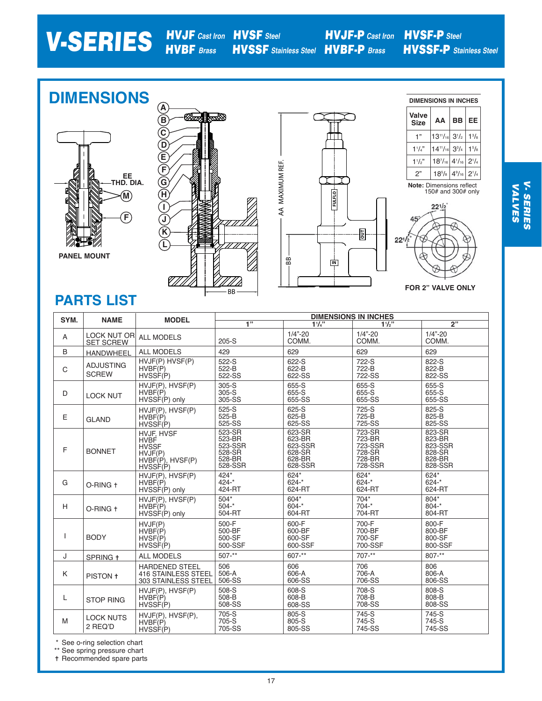#### V-SERIES HVJF **Cast Iron** HVBF **Brass** HVSF **Steel** HVSSF **Stainless Steel** HVBF-P **Brass** HVJF-P **Cast Iron** HVSF-P **Steel** HVSSF-P **Stainless Steel**

#### **DIMENSIONS DIMENSIONS IN INCHES A** ØØØ **Valve B BB EE AA Size** li **C** 1"  $13^{11}/16$ mm  $3^{1/2}$ 1 3 /8 **D**  $14^{11}/16$  $1\frac{1}{4}$  $3^{3}/_{4}$  $1<sup>5</sup>/<sub>8</sub>$ **E** AA MAXIMUM REF. 18<sup>7</sup> /16  $4^{1}/_{16}$  $2^1/4$  $1\frac{1}{2}$ " AA MAXIMUM REF. **F** 2"  $18^{5}/s$  $4\frac{9}{16}$  $2^1/4$ **EE THD. DIA.** ┬ **G Note:** Dimensions reflect 150# and 300# only **M FULFLO H I**  $22^{1/2}$ **FJ** 45  $\widetilde{\mathcal{K}}$ **回**  $22^{1/2}$ **L PANEL MOUNT** BB **IN**

BB

1 B

77/.

**PARTS LIST**

| SYM. | <b>NAME</b>                            | <b>MODEL</b>                                                                                             |                                                            | <b>DIMENSIONS IN INCHES</b>                                |                                                            |                                                            |  |  |  |  |  |  |
|------|----------------------------------------|----------------------------------------------------------------------------------------------------------|------------------------------------------------------------|------------------------------------------------------------|------------------------------------------------------------|------------------------------------------------------------|--|--|--|--|--|--|
|      |                                        |                                                                                                          | $\overline{1}$                                             | 11/4"                                                      | $11/2$ "                                                   | 2"                                                         |  |  |  |  |  |  |
| A    | <b>LOCK NUT OR</b><br><b>SET SCREW</b> | <b>ALL MODELS</b>                                                                                        | $205-S$                                                    | $1/4" - 20$<br>COMM.                                       | $1/4" - 20$<br>COMM.                                       | $1/4" - 20$<br>COMM.                                       |  |  |  |  |  |  |
| B    | <b>HANDWHEEL</b>                       | <b>ALL MODELS</b>                                                                                        | 429                                                        | 629                                                        | 629                                                        | 629                                                        |  |  |  |  |  |  |
| C    | <b>ADJUSTING</b><br><b>SCREW</b>       | HVJF(P) HVSF(P)<br>HVBF(P)<br>HVSSE(P)                                                                   | 522-S<br>522-B<br>522-SS                                   | 622-S<br>622-B<br>622-SS                                   | 722-S<br>722-B<br>722-SS                                   | 822-S<br>822-B<br>822-SS                                   |  |  |  |  |  |  |
| D    | <b>LOCK NUT</b>                        | HVJF(P), HVSF(P)<br>HVBF(P)<br>HVSSF(P) only                                                             | $305-S$<br>$305-S$<br>305-SS                               | 655-S<br>655-S<br>655-SS                                   | 655-S<br>655-S<br>655-SS                                   | 655-S<br>655-S<br>655-SS                                   |  |  |  |  |  |  |
| E    | <b>GLAND</b>                           | HVJF(P), HVSF(P)<br>HVBF(P)<br>HVSSF(P)                                                                  | $525-S$<br>525-B<br>525-SS                                 | 625-S<br>625-B<br>625-SS                                   | 725-S<br>725-B<br>725-SS                                   | 825-S<br>825-B<br>825-SS                                   |  |  |  |  |  |  |
| F    | <b>BONNET</b>                          | <b>HVJF. HVSF</b><br><b>HVBF</b><br><b>HVSSF</b><br>HVJF(P)<br>$HVBF(P)$ , $HVSF(P)$<br>$HVSSE(\hat{P})$ | 523-SR<br>523-BR<br>523-SSR<br>528-SR<br>528-BR<br>528-SSR | 623-SR<br>623-BR<br>623-SSR<br>628-SR<br>628-BR<br>628-SSR | 723-SR<br>723-BR<br>723-SSR<br>728-SR<br>728-BR<br>728-SSR | 823-SR<br>823-BR<br>823-SSR<br>828-SR<br>828-BR<br>828-SSR |  |  |  |  |  |  |
| G    | O-RING +                               | HVJF(P), HVSF(P)<br>HVBF(P)<br>HVSSF(P) only                                                             | 424*<br>$424 -$ *<br>424-RT                                | $624*$<br>$624 -$ *<br>624-RT                              | $624*$<br>$624 -$ *<br>624-RT                              | 624*<br>$624 - *$<br>624-RT                                |  |  |  |  |  |  |
| H    | O-RING +                               | HVJF(P), HVSF(P)<br>HVBF(P)<br>HVSSF(P) only                                                             | $504*$<br>$504 -$ *<br>504-RT                              | $604*$<br>$604 -$ *<br>604-RT                              | $704*$<br>$704 -$ *<br>704-RT                              | 804*<br>$804 -$ *<br>804-RT                                |  |  |  |  |  |  |
| ı    | <b>BODY</b>                            | HVJF(P)<br>HVBF(P)<br>HVSF(P)<br>HVSSF(P)                                                                | 500-F<br>500-BF<br>500-SF<br>500-SSF                       | 600-F<br>600-BF<br>600-SF<br>600-SSF                       | 700-F<br>700-BF<br>700-SF<br>700-SSF                       | 800-F<br>800-BF<br>800-SF<br>800-SSF                       |  |  |  |  |  |  |
| J    | SPRING +                               | <b>ALL MODELS</b>                                                                                        | $507 -$ **                                                 | $607 -$ **                                                 | $707 -$ **                                                 | $807 -$ **                                                 |  |  |  |  |  |  |
| K    | PISTON +                               | <b>HARDENED STEEL</b><br><b>416 STAINLESS STEEL</b><br>303 STAINLESS STEEL                               | 506<br>506-A<br>506-SS                                     | 606<br>606-A<br>606-SS                                     | 706<br>706-A<br>706-SS                                     | 806<br>806-A<br>806-SS                                     |  |  |  |  |  |  |
| L    | <b>STOP RING</b>                       | HVJF(P), HVSF(P)<br>HVBF(P)<br>HVSSE(P)                                                                  | 508-S<br>508-B<br>508-SS                                   | 608-S<br>608-B<br>608-SS                                   | 708-S<br>708-B<br>708-SS                                   | 808-S<br>808-B<br>808-SS                                   |  |  |  |  |  |  |
| M    | <b>LOCK NUTS</b><br>2 REQ'D            | HVJF(P), HVSF(P),<br>HVBF(P)<br>HVSSF(P)                                                                 | 705-S<br>705-S<br>705-SS                                   | 805-S<br>805-S<br>805-SS                                   | 745-S<br>745-S<br>745-SS                                   | 745-S<br>745-S<br>745-SS                                   |  |  |  |  |  |  |

\* See o-ring selection chart

\*\* See spring pressure chart t Recommended spare parts **FOR 2" VALVE ONLY**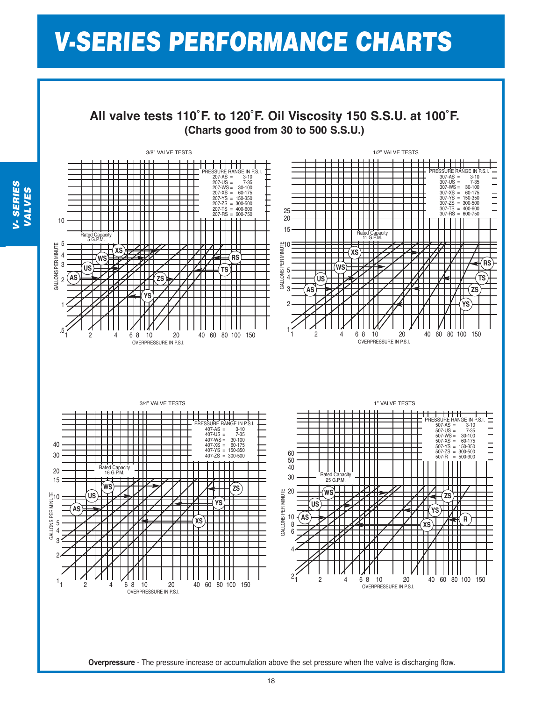# V-SERIES PERFORMANCE CHARTS

**All valve tests 110˚F. to 120˚F. Oil Viscosity 150 S.S.U. at 100˚F. (Charts good from 30 to 500 S.S.U.)**



V- SERIES<br>VALVES VALVES

18